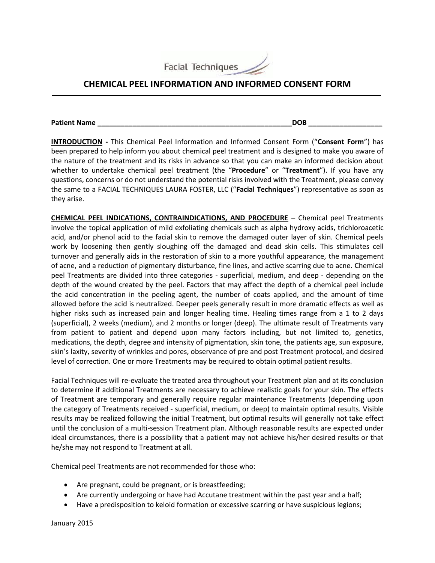

## **CHEMICAL PEEL INFORMATION AND INFORMED CONSENT FORM**

**Patient Name DOB** 

**INTRODUCTION -** This Chemical Peel Information and Informed Consent Form ("**Consent Form**") has been prepared to help inform you about chemical peel treatment and is designed to make you aware of the nature of the treatment and its risks in advance so that you can make an informed decision about whether to undertake chemical peel treatment (the "**Procedure**" or "**Treatment**"). If you have any questions, concerns or do not understand the potential risks involved with the Treatment, please convey the same to a FACIAL TECHNIQUES LAURA FOSTER, LLC ("**Facial Techniques**") representative as soon as they arise.

**CHEMICAL PEEL INDICATIONS, CONTRAINDICATIONS, AND PROCEDURE –** Chemical peel Treatments involve the topical application of mild exfoliating chemicals such as alpha hydroxy acids, trichloroacetic acid, and/or phenol acid to the facial skin to remove the damaged outer layer of skin. Chemical peels work by loosening then gently sloughing off the damaged and dead skin cells. This stimulates cell turnover and generally aids in the restoration of skin to a more youthful appearance, the management of acne, and a reduction of pigmentary disturbance, fine lines, and active scarring due to acne. Chemical peel Treatments are divided into three categories - superficial, medium, and deep - depending on the depth of the wound created by the peel. Factors that may affect the depth of a chemical peel include the acid concentration in the peeling agent, the number of coats applied, and the amount of time allowed before the acid is neutralized. Deeper peels generally result in more dramatic effects as well as higher risks such as increased pain and longer healing time. Healing times range from a 1 to 2 days (superficial), 2 weeks (medium), and 2 months or longer (deep). The ultimate result of Treatments vary from patient to patient and depend upon many factors including, but not limited to, genetics, medications, the depth, degree and intensity of pigmentation, skin tone, the patients age, sun exposure, skin's laxity, severity of wrinkles and pores, observance of pre and post Treatment protocol, and desired level of correction. One or more Treatments may be required to obtain optimal patient results.

Facial Techniques will re-evaluate the treated area throughout your Treatment plan and at its conclusion to determine if additional Treatments are necessary to achieve realistic goals for your skin. The effects of Treatment are temporary and generally require regular maintenance Treatments (depending upon the category of Treatments received - superficial, medium, or deep) to maintain optimal results. Visible results may be realized following the initial Treatment, but optimal results will generally not take effect until the conclusion of a multi-session Treatment plan. Although reasonable results are expected under ideal circumstances, there is a possibility that a patient may not achieve his/her desired results or that he/she may not respond to Treatment at all.

Chemical peel Treatments are not recommended for those who:

- Are pregnant, could be pregnant, or is breastfeeding;
- Are currently undergoing or have had Accutane treatment within the past year and a half;
- Have a predisposition to keloid formation or excessive scarring or have suspicious legions;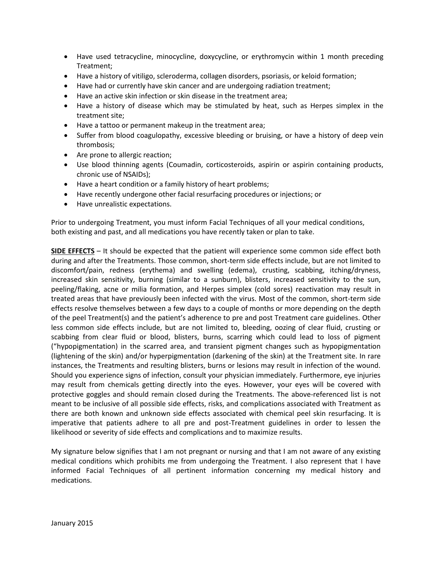- Have used tetracycline, minocycline, doxycycline, or erythromycin within 1 month preceding Treatment;
- Have a history of vitiligo, scleroderma, collagen disorders, psoriasis, or keloid formation;
- Have had or currently have skin cancer and are undergoing radiation treatment;
- Have an active skin infection or skin disease in the treatment area;
- Have a history of disease which may be stimulated by heat, such as Herpes simplex in the treatment site;
- Have a tattoo or permanent makeup in the treatment area;
- Suffer from blood coagulopathy, excessive bleeding or bruising, or have a history of deep vein thrombosis;
- Are prone to allergic reaction;
- Use blood thinning agents (Coumadin, corticosteroids, aspirin or aspirin containing products, chronic use of NSAIDs);
- Have a heart condition or a family history of heart problems;
- Have recently undergone other facial resurfacing procedures or injections; or
- Have unrealistic expectations.

Prior to undergoing Treatment, you must inform Facial Techniques of all your medical conditions, both existing and past, and all medications you have recently taken or plan to take.

**SIDE EFFECTS** – It should be expected that the patient will experience some common side effect both during and after the Treatments. Those common, short-term side effects include, but are not limited to discomfort/pain, redness (erythema) and swelling (edema), crusting, scabbing, itching/dryness, increased skin sensitivity, burning (similar to a sunburn), blisters, increased sensitivity to the sun, peeling/flaking, acne or milia formation, and Herpes simplex (cold sores) reactivation may result in treated areas that have previously been infected with the virus. Most of the common, short-term side effects resolve themselves between a few days to a couple of months or more depending on the depth of the peel Treatment(s) and the patient's adherence to pre and post Treatment care guidelines. Other less common side effects include, but are not limited to, bleeding, oozing of clear fluid, crusting or scabbing from clear fluid or blood, blisters, burns, scarring which could lead to loss of pigment ("hypopigmentation) in the scarred area, and transient pigment changes such as hypopigmentation (lightening of the skin) and/or hyperpigmentation (darkening of the skin) at the Treatment site. In rare instances, the Treatments and resulting blisters, burns or lesions may result in infection of the wound. Should you experience signs of infection, consult your physician immediately. Furthermore, eye injuries may result from chemicals getting directly into the eyes. However, your eyes will be covered with protective goggles and should remain closed during the Treatments. The above-referenced list is not meant to be inclusive of all possible side effects, risks, and complications associated with Treatment as there are both known and unknown side effects associated with chemical peel skin resurfacing. It is imperative that patients adhere to all pre and post-Treatment guidelines in order to lessen the likelihood or severity of side effects and complications and to maximize results.

My signature below signifies that I am not pregnant or nursing and that I am not aware of any existing medical conditions which prohibits me from undergoing the Treatment. I also represent that I have informed Facial Techniques of all pertinent information concerning my medical history and medications.